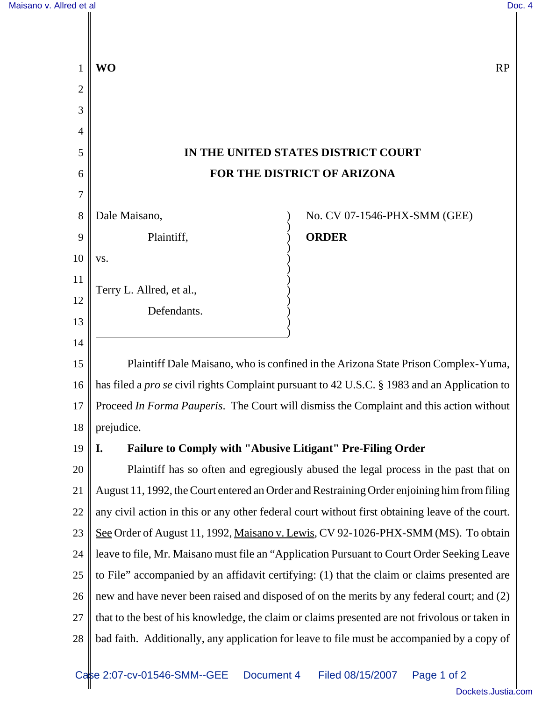|    | <b>WO</b>                                                                                           | <b>RP</b>                    |
|----|-----------------------------------------------------------------------------------------------------|------------------------------|
| 2  |                                                                                                     |                              |
| 3  |                                                                                                     |                              |
| 4  |                                                                                                     |                              |
| 5  | IN THE UNITED STATES DISTRICT COURT                                                                 |                              |
| 6  | FOR THE DISTRICT OF ARIZONA                                                                         |                              |
| 7  |                                                                                                     |                              |
| 8  | Dale Maisano,                                                                                       | No. CV 07-1546-PHX-SMM (GEE) |
| 9  | Plaintiff,                                                                                          | <b>ORDER</b>                 |
| 10 | VS.                                                                                                 |                              |
| 11 | Terry L. Allred, et al.,                                                                            |                              |
| 12 | Defendants.                                                                                         |                              |
| 13 |                                                                                                     |                              |
| 14 |                                                                                                     |                              |
| 15 | Plaintiff Dale Maisano, who is confined in the Arizona State Prison Complex-Yuma,                   |                              |
| 16 | has filed a <i>pro se</i> civil rights Complaint pursuant to 42 U.S.C. § 1983 and an Application to |                              |
| 17 | Proceed In Forma Pauperis. The Court will dismiss the Complaint and this action without             |                              |
| 18 | prejudice.                                                                                          |                              |
| 19 | Failure to Comply with "Abusive Litigant" Pre-Filing Order<br>I.                                    |                              |
| 20 | Plaintiff has so often and egregiously abused the legal process in the past that on                 |                              |
| 21 | August 11, 1992, the Court entered an Order and Restraining Order enjoining him from filing         |                              |
| 22 | any civil action in this or any other federal court without first obtaining leave of the court.     |                              |
| 23 | See Order of August 11, 1992, Maisano v. Lewis, CV 92-1026-PHX-SMM (MS). To obtain                  |                              |
| 24 | leave to file, Mr. Maisano must file an "Application Pursuant to Court Order Seeking Leave          |                              |
| 25 | to File" accompanied by an affidavit certifying: (1) that the claim or claims presented are         |                              |
| 26 | new and have never been raised and disposed of on the merits by any federal court; and (2)          |                              |
| 27 | that to the best of his knowledge, the claim or claims presented are not frivolous or taken in      |                              |
| 28 | bad faith. Additionally, any application for leave to file must be accompanied by a copy of         |                              |
|    |                                                                                                     |                              |